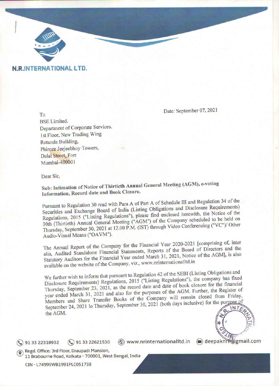

### **N.R.INTERNATIONAL LTD.**

To

Date: September 07, 2021

**BSE Limited.** Department of Corporate Services. 1st Floor, New Trading Wing Rotunda Building, Phiroze Jeejeebhoy Towers, Dalal Street, Fort Mumbai-400001

Dear Sir,

Sub: Intimation of Notice of Thirtieth Annual General Meeting (AGM), e-voting Information, Record date and Book Closure.

Pursuant to Regulation 30 read with Para A of Part A of Schedule III and Regulation 34 of the Securities and Exchange Board of India (Listing Obligations and Disclosure Requirements) Regulations, 2015 ("Listing Regulations"), please find enclosed herewith, the Notice of the 30th (Thirtieth) Annual General Meeting ("AGM") of the Company scheduled to be held on Thursday, September 30, 2021 at 12.00 P.M. (IST) through Video Conferencing ("VC")/ Other Audio-Visual Means ("OAVM").

The Annual Report of the Company for the Financial Year 2020-2021 [comprising of, inter alia, Audited Standalone Financial Statements, Reports of the Board of Directors and the Statutory Auditors for the Financial Year ended March 31, 2021, Notice of the AGM], is also available on the website of the Company, viz., www.nrinternationalItd.in

We further wish to inform that pursuant to Regulation 42 of the SEBI (Listing Obligations and Disclosure Requirements) Regulations, 2015 ("Listing Regulations"), the company has fixed Thursday, September 23, 2021, as the record date and date of book closure for the financial year ended March 31, 2021 and also for the purposes of the AGM. Further, the Register of Members and Share Transfer Books of the Company will remain closed from Friday, September 24, 2021 lo Thursday, September 30, 2021 (both days inclusive) for the purpose of INTE the AGM.

(®) www.nrinternationalItd.in 91 33 22621530  $\circ$  91 33 22318932

deepaknift@gmail.com

Regd. Office: 3rd Floor, Draupadi Mansion, 11 Brabourne Road, Kolkata - 700001, West Bengal, India

CIN - L74999WB1991PLC051738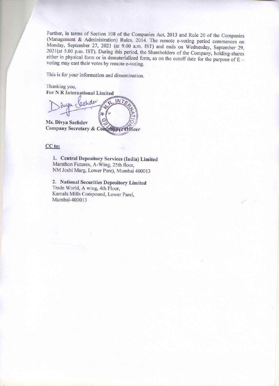Further, in terms of Section 108 of the Companies Act, 2013 and Rule 20 of the Companies (Management & Administration) Rules, 2014. The remote e-voting period commences on Monday, September 27, 2021 (at 9.00 a.m. IST) and ends on Wednesday, September 29, 2021(at 5.00 p.m. IST). During this period, the Shareholders of the Company, holding-shares either in physical form or in dematerialized form, as on the cutoff date for the purpose of  $E$ voting may cast their votes by remote e-voting.

This is for your information and dissemination.

Thanking you, For N R International Limited

Jachda INT 26 Ms. Divya Sachdev

Company Secretary & Compliance Officer

#### CC to:

1. Central Depository Services (India) Limited Marathon Futurex, A-Wing, 25th floor, NM Joshi Marg, Lower Pare), Mumbai 400013

2. National Securities Depository Limited Trade World, A wing, 4th Floor, Kamala Mills Compound, Lower Parel, Mumbai-400013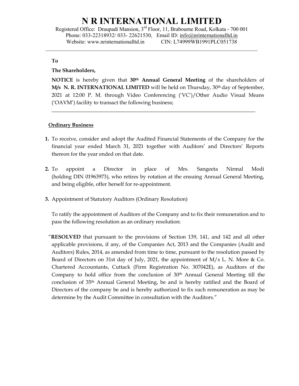Registered Office: Draupadi Mansion, 3rd Floor, 11, Brabourne Road, Kolkata - 700 001 Phone: 033-22318932/ 033- 22621530, Email ID: info@nrinternationalltd.in Website: www.nrinternationalltd.in CIN: L74999WB1991PLC051738

 $\mathcal{L}_\mathcal{L} = \{ \mathcal{L}_\mathcal{L} = \{ \mathcal{L}_\mathcal{L} = \{ \mathcal{L}_\mathcal{L} = \{ \mathcal{L}_\mathcal{L} = \{ \mathcal{L}_\mathcal{L} = \{ \mathcal{L}_\mathcal{L} = \{ \mathcal{L}_\mathcal{L} = \{ \mathcal{L}_\mathcal{L} = \{ \mathcal{L}_\mathcal{L} = \{ \mathcal{L}_\mathcal{L} = \{ \mathcal{L}_\mathcal{L} = \{ \mathcal{L}_\mathcal{L} = \{ \mathcal{L}_\mathcal{L} = \{ \mathcal{L}_\mathcal{$ 

#### To

#### The Shareholders,

NOTICE is hereby given that 30<sup>th</sup> Annual General Meeting of the shareholders of  $M/s$  N. R. INTERNATIONAL LIMITED will be held on Thursday, 30<sup>th</sup> day of September, 2021 at 12:00 P. M. through Video Conferencing ('VC')/Other Audio Visual Means ('OAVM') facility to transact the following business;

#### **Ordinary Business**

- 1. To receive, consider and adopt the Audited Financial Statements of the Company for the financial year ended March 31, 2021 together with Auditors' and Directors' Reports thereon for the year ended on that date.
- 2. To appoint a Director in place of Mrs. Sangeeta Nirmal Modi (holding DIN 01963973), who retires by rotation at the ensuing Annual General Meeting, and being eligible, offer herself for re-appointment.
- 3. Appointment of Statutory Auditors (Ordinary Resolution)

To ratify the appointment of Auditors of the Company and to fix their remuneration and to pass the following resolution as an ordinary resolution:

"RESOLVED that pursuant to the provisions of Section 139, 141, and 142 and all other applicable provisions, if any, of the Companies Act, 2013 and the Companies (Audit and Auditors) Rules, 2014, as amended from time to time, pursuant to the resolution passed by Board of Directors on 31st day of July, 2021, the appointment of M/s L. N. More & Co. Chartered Accountants, Cuttack (Firm Registration No. 307042E), as Auditors of the Company to hold office from the conclusion of 30th Annual General Meeting till the conclusion of 35th Annual General Meeting, be and is hereby ratified and the Board of Directors of the company be and is hereby authorized to fix such remuneration as may be determine by the Audit Committee in consultation with the Auditors."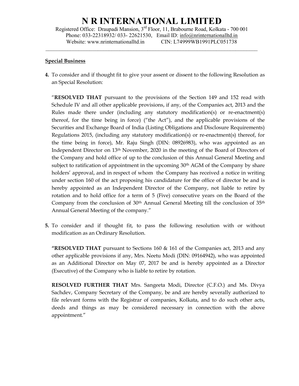Registered Office: Draupadi Mansion, 3rd Floor, 11, Brabourne Road, Kolkata - 700 001 Phone: 033-22318932/ 033- 22621530, Email ID: info@nrinternationalltd.in Website: www.nrinternationalltd.in CIN: L74999WB1991PLC051738

 $\mathcal{L}_\mathcal{L} = \{ \mathcal{L}_\mathcal{L} = \{ \mathcal{L}_\mathcal{L} = \{ \mathcal{L}_\mathcal{L} = \{ \mathcal{L}_\mathcal{L} = \{ \mathcal{L}_\mathcal{L} = \{ \mathcal{L}_\mathcal{L} = \{ \mathcal{L}_\mathcal{L} = \{ \mathcal{L}_\mathcal{L} = \{ \mathcal{L}_\mathcal{L} = \{ \mathcal{L}_\mathcal{L} = \{ \mathcal{L}_\mathcal{L} = \{ \mathcal{L}_\mathcal{L} = \{ \mathcal{L}_\mathcal{L} = \{ \mathcal{L}_\mathcal{$ 

#### Special Business

4. To consider and if thought fit to give your assent or dissent to the following Resolution as an Special Resolution:

"RESOLVED THAT pursuant to the provisions of the Section 149 and 152 read with Schedule IV and all other applicable provisions, if any, of the Companies act, 2013 and the Rules made there under (including any statutory modification(s) or re-enactment(s) thereof, for the time being in force) ("the Act"), and the applicable provisions of the Securities and Exchange Board of India (Listing Obligations and Disclosure Requirements) Regulations 2015, (including any statutory modification(s) or re-enactment(s) thereof, for the time being in force), Mr. Raju Singh (DIN: 08926983), who was appointed as an Independent Director on 13th November, 2020 in the meeting of the Board of Directors of the Company and hold office of up to the conclusion of this Annual General Meeting and subject to ratification of appointment in the upcoming 30<sup>th</sup> AGM of the Company by share holders' approval, and in respect of whom the Company has received a notice in writing under section 160 of the act proposing his candidature for the office of director be and is hereby appointed as an Independent Director of the Company, not liable to retire by rotation and to hold office for a term of 5 (Five) consecutive years on the Board of the Company from the conclusion of 30<sup>th</sup> Annual General Meeting till the conclusion of 35<sup>th</sup> Annual General Meeting of the company."

5. To consider and if thought fit, to pass the following resolution with or without modification as an Ordinary Resolution.

"RESOLVED THAT pursuant to Sections 160 & 161 of the Companies act, 2013 and any other applicable provisions if any, Mrs. Neetu Modi (DIN: 09164942), who was appointed as an Additional Director on May 07, 2017 be and is hereby appointed as a Director (Executive) of the Company who is liable to retire by rotation.

RESOLVED FURTHER THAT Mrs. Sangeeta Modi, Director (C.F.O.) and Ms. Divya Sachdev, Company Secretary of the Company, be and are hereby severally authorized to file relevant forms with the Registrar of companies, Kolkata, and to do such other acts, deeds and things as may be considered necessary in connection with the above appointment."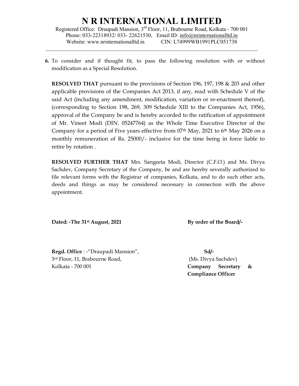Registered Office: Draupadi Mansion, 3rd Floor, 11, Brabourne Road, Kolkata - 700 001 Phone: 033-22318932/ 033- 22621530, Email ID: info@nrinternationalltd.in Website: www.nrinternationalltd.in CIN: L74999WB1991PLC051738

 $\mathcal{L}_\mathcal{L} = \{ \mathcal{L}_\mathcal{L} = \{ \mathcal{L}_\mathcal{L} = \{ \mathcal{L}_\mathcal{L} = \{ \mathcal{L}_\mathcal{L} = \{ \mathcal{L}_\mathcal{L} = \{ \mathcal{L}_\mathcal{L} = \{ \mathcal{L}_\mathcal{L} = \{ \mathcal{L}_\mathcal{L} = \{ \mathcal{L}_\mathcal{L} = \{ \mathcal{L}_\mathcal{L} = \{ \mathcal{L}_\mathcal{L} = \{ \mathcal{L}_\mathcal{L} = \{ \mathcal{L}_\mathcal{L} = \{ \mathcal{L}_\mathcal{$ 

6. To consider and if thought fit, to pass the following resolution with or without modification as a Special Resolution.

RESOLVED THAT pursuant to the provisions of Section 196, 197, 198 & 203 and other applicable provisions of the Companies Act 2013, if any, read with Schedule V of the said Act (including any amendment, modification, variation or re-enactment thereof), (corresponding to Section 198, 269, 309 Schedule XIII to the Companies Act, 1956), approval of the Company be and is hereby accorded to the ratification of appointment of Mr. Vineet Modi (DIN. 05247764) as the Whole Time Executive Director of the Company for a period of Five years effective from  $07<sup>th</sup>$  May, 2021 to  $6<sup>th</sup>$  May 2026 on a monthly remuneration of Rs. 25000/- inclusive for the time being in force liable to retire by rotation .

RESOLVED FURTHER THAT Mrs. Sangeeta Modi, Director (C.F.O.) and Ms. Divya Sachdev, Company Secretary of the Company, be and are hereby severally authorized to file relevant forms with the Registrar of companies, Kolkata, and to do such other acts, deeds and things as may be considered necessary in connection with the above appointment.

Dated: -The 31<sup>st</sup> August, 2021 By order of the Board/-

Regd. Office : -"Draupadi Mansion", Sd/-3 rd Floor, 11, Brabourne Road, (Ms. Divya Sachdev) Kolkata - 700 001 **Company Secretary &** 

Compliance Officer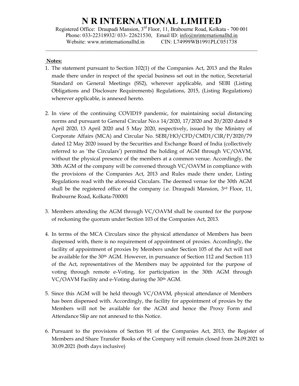Registered Office: Draupadi Mansion, 3rd Floor, 11, Brabourne Road, Kolkata - 700 001 Phone: 033-22318932/ 033- 22621530, Email ID: info@nrinternationalltd.in Website: www.nrinternationalltd.in CIN: L74999WB1991PLC051738

 $\mathcal{L}_\mathcal{L} = \{ \mathcal{L}_\mathcal{L} = \{ \mathcal{L}_\mathcal{L} = \{ \mathcal{L}_\mathcal{L} = \{ \mathcal{L}_\mathcal{L} = \{ \mathcal{L}_\mathcal{L} = \{ \mathcal{L}_\mathcal{L} = \{ \mathcal{L}_\mathcal{L} = \{ \mathcal{L}_\mathcal{L} = \{ \mathcal{L}_\mathcal{L} = \{ \mathcal{L}_\mathcal{L} = \{ \mathcal{L}_\mathcal{L} = \{ \mathcal{L}_\mathcal{L} = \{ \mathcal{L}_\mathcal{L} = \{ \mathcal{L}_\mathcal{$ 

#### Notes:

- 1. The statement pursuant to Section 102(1) of the Companies Act, 2013 and the Rules made there under in respect of the special business set out in the notice, Secretarial Standard on General Meetings (SS2), wherever applicable, and SEBI (Listing Obligations and Disclosure Requirements) Regulations, 2015, (Listing Regulations) wherever applicable, is annexed hereto.
- 2. In view of the continuing COVID19 pandemic, for maintaining social distancing norms and pursuant to General Circular No.s 14/2020, 17/2020 and 20/2020 dated 8 April 2020, 13 April 2020 and 5 May 2020, respectively, issued by the Ministry of Corporate Affairs (MCA) and Circular No. SEBI/HO/CFD/CMD1/CIR/P/2020/79 dated 12 May 2020 issued by the Securities and Exchange Board of India (collectively referred to as 'the Circulars') permitted the holding of AGM through VC/OAVM, without the physical presence of the members at a common venue. Accordingly, the 30th AGM of the company will be convened through VC/OAVM in compliance with the provisions of the Companies Act, 2013 and Rules made there under, Listing Regulations read with the aforesaid Circulars. The deemed venue for the 30th AGM shall be the registered office of the company i.e. Draupadi Mansion,  $3<sup>rd</sup>$  Floor, 11, Brabourne Road, Kolkata-700001
- 3. Members attending the AGM through VC/OAVM shall be counted for the purpose of reckoning the quorum under Section 103 of the Companies Act, 2013.
- 4. In terms of the MCA Circulars since the physical attendance of Members has been dispensed with, there is no requirement of appointment of proxies. Accordingly, the facility of appointment of proxies by Members under Section 105 of the Act will not be available for the 30<sup>th</sup> AGM. However, in pursuance of Section 112 and Section 113 of the Act, representatives of the Members may be appointed for the purpose of voting through remote e-Voting, for participation in the 30th AGM through VC/OAVM Facility and e-Voting during the 30th AGM.
- 5. Since this AGM will be held through VC/OAVM, physical attendance of Members has been dispensed with. Accordingly, the facility for appointment of proxies by the Members will not be available for the AGM and hence the Proxy Form and Attendance Slip are not annexed to this Notice.
- 6. Pursuant to the provisions of Section 91 of the Companies Act, 2013, the Register of Members and Share Transfer Books of the Company will remain closed from 24.09.2021 to 30.09.2021 (both days inclusive)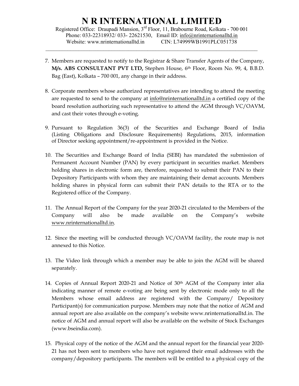Registered Office: Draupadi Mansion, 3rd Floor, 11, Brabourne Road, Kolkata - 700 001 Phone: 033-22318932/ 033- 22621530, Email ID: info@nrinternationalltd.in Website: www.nrinternationalltd.in CIN: L74999WB1991PLC051738

 $\mathcal{L}_\mathcal{L} = \{ \mathcal{L}_\mathcal{L} = \{ \mathcal{L}_\mathcal{L} = \{ \mathcal{L}_\mathcal{L} = \{ \mathcal{L}_\mathcal{L} = \{ \mathcal{L}_\mathcal{L} = \{ \mathcal{L}_\mathcal{L} = \{ \mathcal{L}_\mathcal{L} = \{ \mathcal{L}_\mathcal{L} = \{ \mathcal{L}_\mathcal{L} = \{ \mathcal{L}_\mathcal{L} = \{ \mathcal{L}_\mathcal{L} = \{ \mathcal{L}_\mathcal{L} = \{ \mathcal{L}_\mathcal{L} = \{ \mathcal{L}_\mathcal{$ 

- 7. Members are requested to notify to the Registrar & Share Transfer Agents of the Company,  $M/s$ . ABS CONSULTANT PVT LTD, Stephen House,  $6<sup>th</sup>$  Floor, Room No. 99, 4, B.B.D. Bag (East), Kolkata – 700 001, any change in their address.
- 8. Corporate members whose authorized representatives are intending to attend the meeting are requested to send to the company at info@nrinternationalltd.in a certified copy of the board resolution authorizing such representative to attend the AGM through VC/OAVM, and cast their votes through e-voting.
- 9. Pursuant to Regulation 36(3) of the Securities and Exchange Board of India (Listing Obligations and Disclosure Requirements) Regulations, 2015, information of Director seeking appointment/re-appointment is provided in the Notice.
- 10. The Securities and Exchange Board of India (SEBI) has mandated the submission of Permanent Account Number (PAN) by every participant in securities market. Members holding shares in electronic form are, therefore, requested to submit their PAN to their Depository Participants with whom they are maintaining their demat accounts. Members holding shares in physical form can submit their PAN details to the RTA or to the Registered office of the Company.
- 11. The Annual Report of the Company for the year 2020-21 circulated to the Members of the Company will also be made available on the Company's website www.nrinternationalltd.in.
- 12. Since the meeting will be conducted through VC/OAVM facility, the route map is not annexed to this Notice.
- 13. The Video link through which a member may be able to join the AGM will be shared separately.
- 14. Copies of Annual Report 2020-21 and Notice of 30th AGM of the Company inter alia indicating manner of remote e-voting are being sent by electronic mode only to all the Members whose email address are registered with the Company/ Depository Participant(s) for communication purpose. Members may note that the notice of AGM and annual report are also available on the company's website www.nrinternationalltd.in. The notice of AGM and annual report will also be available on the website of Stock Exchanges (www.bseindia.com).
- 15. Physical copy of the notice of the AGM and the annual report for the financial year 2020- 21 has not been sent to members who have not registered their email addresses with the company/depository participants. The members will be entitled to a physical copy of the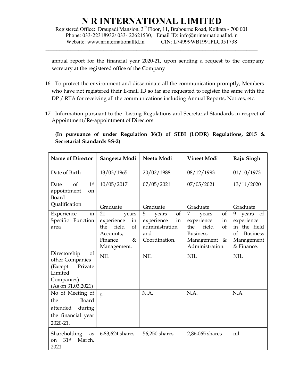Registered Office: Draupadi Mansion, 3rd Floor, 11, Brabourne Road, Kolkata - 700 001 Phone: 033-22318932/ 033- 22621530, Email ID: info@nrinternationalltd.in Website: www.nrinternationalltd.in CIN: L74999WB1991PLC051738

 $\mathcal{L}_\mathcal{L} = \{ \mathcal{L}_\mathcal{L} = \{ \mathcal{L}_\mathcal{L} = \{ \mathcal{L}_\mathcal{L} = \{ \mathcal{L}_\mathcal{L} = \{ \mathcal{L}_\mathcal{L} = \{ \mathcal{L}_\mathcal{L} = \{ \mathcal{L}_\mathcal{L} = \{ \mathcal{L}_\mathcal{L} = \{ \mathcal{L}_\mathcal{L} = \{ \mathcal{L}_\mathcal{L} = \{ \mathcal{L}_\mathcal{L} = \{ \mathcal{L}_\mathcal{L} = \{ \mathcal{L}_\mathcal{L} = \{ \mathcal{L}_\mathcal{$ 

annual report for the financial year 2020-21, upon sending a request to the company secretary at the registered office of the Company

- 16. To protect the environment and disseminate all the communication promptly, Members who have not registered their E-mail ID so far are requested to register the same with the DP / RTA for receiving all the communications including Annual Reports, Notices, etc.
- 17. Information pursuant to the Listing Regulations and Secretarial Standards in respect of Appointment/Re-appointment of Directors

(In pursuance of under Regulation 36(3) of SEBI (LODR) Regulations, 2015 & Secretarial Standards SS-2)

| <b>Name of Director</b>                                                                                    | Sangeeta Modi                                                                                        | Neetu Modi                                                                     | <b>Vineet Modi</b>                                                                                               | Raju Singh                                                                                          |  |
|------------------------------------------------------------------------------------------------------------|------------------------------------------------------------------------------------------------------|--------------------------------------------------------------------------------|------------------------------------------------------------------------------------------------------------------|-----------------------------------------------------------------------------------------------------|--|
| Date of Birth                                                                                              | 13/03/1965                                                                                           | 20/02/1988                                                                     | 08/12/1993                                                                                                       | 01/10/1973                                                                                          |  |
| $\sigma$<br>1 <sup>st</sup><br>Date<br>appointment<br><sub>on</sub><br>Board                               | 10/05/2017                                                                                           | 07/05/2021                                                                     | 07/05/2021                                                                                                       | 13/11/2020                                                                                          |  |
| Qualification                                                                                              | Graduate                                                                                             | Graduate                                                                       | Graduate                                                                                                         | Graduate                                                                                            |  |
| Experience<br>in<br>Specific Function<br>area                                                              | 21<br>years<br>experience<br>in<br>field<br>the<br>of<br>Accounts,<br>Finance<br>$\&$<br>Management. | 5<br>of<br>years<br>experience<br>in<br>administration<br>and<br>Coordination. | of<br>7<br>years<br>experience<br>in<br>field<br>the<br>of<br><b>Business</b><br>Management &<br>Administration. | 9<br>of<br>years<br>experience<br>in the field<br>of<br><b>Business</b><br>Management<br>& Finance. |  |
| Directorship<br>of<br>other Companies<br>Private<br>(Except<br>Limited<br>Companies)<br>(As on 31.03.2021) | <b>NIL</b>                                                                                           | <b>NIL</b>                                                                     | <b>NIL</b>                                                                                                       | <b>NIL</b>                                                                                          |  |
| No of Meeting of<br>Board<br>the<br>attended<br>during<br>the financial year<br>2020-21.                   | 5                                                                                                    | N.A.                                                                           | N.A.                                                                                                             | N.A.                                                                                                |  |
| Shareholding<br>as<br>31 <sup>st</sup><br>March,<br><sub>on</sub><br>2021                                  | 6,83,624 shares                                                                                      | 56,250 shares                                                                  | 2,86,065 shares                                                                                                  | nil                                                                                                 |  |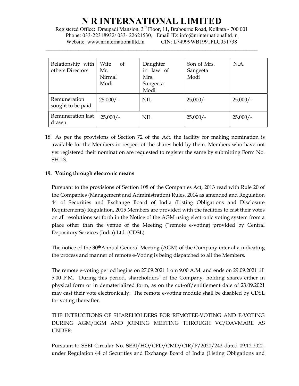Registered Office: Draupadi Mansion, 3rd Floor, 11, Brabourne Road, Kolkata - 700 001 Phone: 033-22318932/ 033- 22621530, Email ID: info@nrinternationalltd.in Website: www.nrinternationalltd.in CIN: L74999WB1991PLC051738

 $\mathcal{L}_\mathcal{L} = \{ \mathcal{L}_\mathcal{L} = \{ \mathcal{L}_\mathcal{L} = \{ \mathcal{L}_\mathcal{L} = \{ \mathcal{L}_\mathcal{L} = \{ \mathcal{L}_\mathcal{L} = \{ \mathcal{L}_\mathcal{L} = \{ \mathcal{L}_\mathcal{L} = \{ \mathcal{L}_\mathcal{L} = \{ \mathcal{L}_\mathcal{L} = \{ \mathcal{L}_\mathcal{L} = \{ \mathcal{L}_\mathcal{L} = \{ \mathcal{L}_\mathcal{L} = \{ \mathcal{L}_\mathcal{L} = \{ \mathcal{L}_\mathcal{$ 

| Relationship with<br>others Directors | Wife<br>of<br>Mr.<br>Nirmal<br>Modi | Daughter<br>in law of<br>Mrs.<br>Sangeeta<br>Modi | Son of Mrs.<br>Sangeeta<br>Modi | N.A.       |
|---------------------------------------|-------------------------------------|---------------------------------------------------|---------------------------------|------------|
| Remuneration<br>sought to be paid     | $25,000/-$                          | NIL                                               | $25,000/-$                      | $25,000/-$ |
| Remuneration last<br>drawn            | $25,000/-$                          | <b>NIL</b>                                        | $25,000/-$                      | $25,000/-$ |

18. As per the provisions of Section 72 of the Act, the facility for making nomination is available for the Members in respect of the shares held by them. Members who have not yet registered their nomination are requested to register the same by submitting Form No. SH-13.

### 19. Voting through electronic means

Pursuant to the provisions of Section 108 of the Companies Act, 2013 read with Rule 20 of the Companies (Management and Administration) Rules, 2014 as amended and Regulation 44 of Securities and Exchange Board of India (Listing Obligations and Disclosure Requirements) Regulation, 2015 Members are provided with the facilities to cast their votes on all resolutions set forth in the Notice of the AGM using electronic voting system from a place other than the venue of the Meeting ("remote e-voting) provided by Central Depository Services (India) Ltd. (CDSL).

The notice of the 30thAnnual General Meeting (AGM) of the Company inter alia indicating the process and manner of remote e-Voting is being dispatched to all the Members.

The remote e-voting period begins on 27.09.2021 from 9.00 A.M. and ends on 29.09.2021 till 5.00 P.M. During this period, shareholders' of the Company, holding shares either in physical form or in dematerialized form, as on the cut-off/entitlement date of 23.09.2021 may cast their vote electronically. The remote e-voting module shall be disabled by CDSL for voting thereafter.

THE INTRUCTIONS OF SHAREHOLDERS FOR REMOTEE-VOTING AND E-VOTING DURING AGM/EGM AND JOINING MEETING THROUGH VC/OAVMARE AS UNDER:

Pursuant to SEBI Circular No. SEBI/HO/CFD/CMD/CIR/P/2020/242 dated 09.12.2020, under Regulation 44 of Securities and Exchange Board of India (Listing Obligations and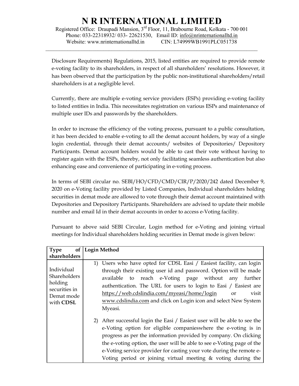Registered Office: Draupadi Mansion, 3rd Floor, 11, Brabourne Road, Kolkata - 700 001 Phone: 033-22318932/ 033- 22621530, Email ID: info@nrinternationalltd.in Website: www.nrinternationalltd.in CIN: L74999WB1991PLC051738

 $\mathcal{L}_\mathcal{L} = \{ \mathcal{L}_\mathcal{L} = \{ \mathcal{L}_\mathcal{L} = \{ \mathcal{L}_\mathcal{L} = \{ \mathcal{L}_\mathcal{L} = \{ \mathcal{L}_\mathcal{L} = \{ \mathcal{L}_\mathcal{L} = \{ \mathcal{L}_\mathcal{L} = \{ \mathcal{L}_\mathcal{L} = \{ \mathcal{L}_\mathcal{L} = \{ \mathcal{L}_\mathcal{L} = \{ \mathcal{L}_\mathcal{L} = \{ \mathcal{L}_\mathcal{L} = \{ \mathcal{L}_\mathcal{L} = \{ \mathcal{L}_\mathcal{$ 

Disclosure Requirements) Regulations, 2015, listed entities are required to provide remote e-voting facility to its shareholders, in respect of all shareholders' resolutions. However, it has been observed that the participation by the public non-institutional shareholders/retail shareholders is at a negligible level.

Currently, there are multiple e-voting service providers (ESPs) providing e-voting facility to listed entities in India. This necessitates registration on various ESPs and maintenance of multiple user IDs and passwords by the shareholders.

In order to increase the efficiency of the voting process, pursuant to a public consultation, it has been decided to enable e-voting to all the demat account holders, by way of a single login credential, through their demat accounts/ websites of Depositories/ Depository Participants. Demat account holders would be able to cast their vote without having to register again with the ESPs, thereby, not only facilitating seamless authentication but also enhancing ease and convenience of participating in e-voting process.

In terms of SEBI circular no. SEBI/HO/CFD/CMD/CIR/P/2020/242 dated December 9, 2020 on e-Voting facility provided by Listed Companies, Individual shareholders holding securities in demat mode are allowed to vote through their demat account maintained with Depositories and Depository Participants. Shareholders are advised to update their mobile number and email Id in their demat accounts in order to access e-Voting facility.

| of <sub>l</sub><br><b>Type</b>                                                           | <b>Login Method</b>                                                                                                                                                                                                                                                                                                                                                                                                                                                                                                                                                                                                                                                                                                                                                                                                                                                       |
|------------------------------------------------------------------------------------------|---------------------------------------------------------------------------------------------------------------------------------------------------------------------------------------------------------------------------------------------------------------------------------------------------------------------------------------------------------------------------------------------------------------------------------------------------------------------------------------------------------------------------------------------------------------------------------------------------------------------------------------------------------------------------------------------------------------------------------------------------------------------------------------------------------------------------------------------------------------------------|
| shareholders                                                                             |                                                                                                                                                                                                                                                                                                                                                                                                                                                                                                                                                                                                                                                                                                                                                                                                                                                                           |
| Individual<br><b>Shareholders</b><br>holding<br>securities in<br>Demat mode<br>with CDSL | 1) Users who have opted for CDSL Easi / Easiest facility, can login<br>through their existing user id and password. Option will be made<br>available to reach e-Voting page without<br>any<br>further<br>authentication. The URL for users to login to Easi / Easiest are<br>https://web.cdslindia.com/myeasi/home/login<br>visit<br><sub>or</sub><br>www.cdslindia.com and click on Login icon and select New System<br>Myeasi.<br>After successful login the Easi / Easiest user will be able to see the<br>2)<br>e-Voting option for eligible companies where the e-voting is in<br>progress as per the information provided by company. On clicking<br>the e-voting option, the user will be able to see e-Voting page of the<br>e-Voting service provider for casting your vote during the remote e-<br>Voting period or joining virtual meeting & voting during the |

Pursuant to above said SEBI Circular, Login method for e-Voting and joining virtual meetings for Individual shareholders holding securities in Demat mode is given below: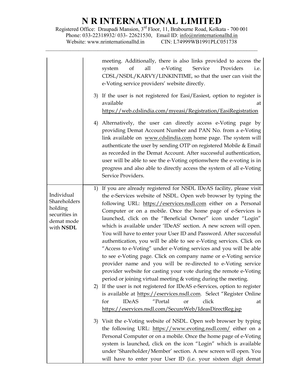Registered Office: Draupadi Mansion, 3<sup>rd</sup> Floor, 11, Brabourne Road, Kolkata - 700 001 Phone: 033-22318932/ 033- 22621530, Email ID: info@nrinternationalltd.in Website: www.nrinternationalltd.in CIN: L74999WB1991PLC051738

 $\mathcal{L}_\mathcal{L} = \{ \mathcal{L}_\mathcal{L} = \{ \mathcal{L}_\mathcal{L} = \{ \mathcal{L}_\mathcal{L} = \{ \mathcal{L}_\mathcal{L} = \{ \mathcal{L}_\mathcal{L} = \{ \mathcal{L}_\mathcal{L} = \{ \mathcal{L}_\mathcal{L} = \{ \mathcal{L}_\mathcal{L} = \{ \mathcal{L}_\mathcal{L} = \{ \mathcal{L}_\mathcal{L} = \{ \mathcal{L}_\mathcal{L} = \{ \mathcal{L}_\mathcal{L} = \{ \mathcal{L}_\mathcal{L} = \{ \mathcal{L}_\mathcal{$ 

|                                                                                   | meeting. Additionally, there is also links provided to access the<br>Service<br>of<br>all<br>Providers<br>e-Voting<br>system<br>i.e.<br>CDSL/NSDL/KARVY/LINKINTIME, so that the user can visit the<br>e-Voting service providers' website directly.                                                                                                                                                                                                                                                                                                                                                                                                                                                                                                                                                                                                                                                                                                                                                                                                                                                                                                                                |
|-----------------------------------------------------------------------------------|------------------------------------------------------------------------------------------------------------------------------------------------------------------------------------------------------------------------------------------------------------------------------------------------------------------------------------------------------------------------------------------------------------------------------------------------------------------------------------------------------------------------------------------------------------------------------------------------------------------------------------------------------------------------------------------------------------------------------------------------------------------------------------------------------------------------------------------------------------------------------------------------------------------------------------------------------------------------------------------------------------------------------------------------------------------------------------------------------------------------------------------------------------------------------------|
|                                                                                   | 3) If the user is not registered for Easi/Easiest, option to register is<br>available<br>at<br>https://web.cdslindia.com/myeasi/Registration/EasiRegistration                                                                                                                                                                                                                                                                                                                                                                                                                                                                                                                                                                                                                                                                                                                                                                                                                                                                                                                                                                                                                      |
|                                                                                   | 4) Alternatively, the user can directly access e-Voting page by<br>providing Demat Account Number and PAN No. from a e-Voting<br>link available on www.cdslindia.com home page. The system will<br>authenticate the user by sending OTP on registered Mobile & Email<br>as recorded in the Demat Account. After successful authentication,<br>user will be able to see the e-Voting optionwhere the e-voting is in<br>progress and also able to directly access the system of all e-Voting<br>Service Providers.                                                                                                                                                                                                                                                                                                                                                                                                                                                                                                                                                                                                                                                                   |
| Individual<br>Shareholders<br>holding<br>securities in<br>demat mode<br>with NSDL | 1) If you are already registered for NSDL IDeAS facility, please visit<br>the e-Services website of NSDL. Open web browser by typing the<br>following URL: https://eservices.nsdl.com either on a Personal<br>Computer or on a mobile. Once the home page of e-Services is<br>launched, click on the "Beneficial Owner" icon under "Login"<br>which is available under 'IDeAS' section. A new screen will open.<br>You will have to enter your User ID and Password. After successful<br>authentication, you will be able to see e-Voting services. Click on<br>"Access to e-Voting" under e-Voting services and you will be able<br>to see e-Voting page. Click on company name or e-Voting service<br>provider name and you will be re-directed to e-Voting service<br>provider website for casting your vote during the remote e-Voting<br>period or joining virtual meeting & voting during the meeting.<br>2) If the user is not registered for IDeAS e-Services, option to register<br>is available at https://eservices.nsdl.com. Select "Register Online<br>"Portal<br><b>IDeAS</b><br>click<br>for<br>or<br>at<br>https://eservices.nsdl.com/SecureWeb/IdeasDirectReg.jsp |
|                                                                                   | 3) Visit the e-Voting website of NSDL. Open web browser by typing<br>the following URL: https://www.evoting.nsdl.com/ either on a<br>Personal Computer or on a mobile. Once the home page of e-Voting<br>system is launched, click on the icon "Login" which is available<br>under 'Shareholder/Member' section. A new screen will open. You<br>will have to enter your User ID (i.e. your sixteen digit demat                                                                                                                                                                                                                                                                                                                                                                                                                                                                                                                                                                                                                                                                                                                                                                     |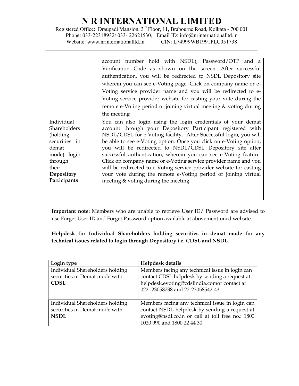Registered Office: Draupadi Mansion, 3rd Floor, 11, Brabourne Road, Kolkata - 700 001 Phone: 033-22318932/ 033- 22621530, Email ID: info@nrinternationalltd.in Website: www.nrinternationalltd.in CIN: L74999WB1991PLC051738

 $\mathcal{L}_\mathcal{L} = \{ \mathcal{L}_\mathcal{L} = \{ \mathcal{L}_\mathcal{L} = \{ \mathcal{L}_\mathcal{L} = \{ \mathcal{L}_\mathcal{L} = \{ \mathcal{L}_\mathcal{L} = \{ \mathcal{L}_\mathcal{L} = \{ \mathcal{L}_\mathcal{L} = \{ \mathcal{L}_\mathcal{L} = \{ \mathcal{L}_\mathcal{L} = \{ \mathcal{L}_\mathcal{L} = \{ \mathcal{L}_\mathcal{L} = \{ \mathcal{L}_\mathcal{L} = \{ \mathcal{L}_\mathcal{L} = \{ \mathcal{L}_\mathcal{$ 

|                                                                                                                                    | account number hold with NSDL), Password/OTP and a                                                                                                                                                                                                                                                                                                                                                                                                                                                                                                                                                                  |
|------------------------------------------------------------------------------------------------------------------------------------|---------------------------------------------------------------------------------------------------------------------------------------------------------------------------------------------------------------------------------------------------------------------------------------------------------------------------------------------------------------------------------------------------------------------------------------------------------------------------------------------------------------------------------------------------------------------------------------------------------------------|
|                                                                                                                                    | Verification Code as shown on the screen. After successful                                                                                                                                                                                                                                                                                                                                                                                                                                                                                                                                                          |
|                                                                                                                                    | authentication, you will be redirected to NSDL Depository site                                                                                                                                                                                                                                                                                                                                                                                                                                                                                                                                                      |
|                                                                                                                                    | wherein you can see e-Voting page. Click on company name or e-                                                                                                                                                                                                                                                                                                                                                                                                                                                                                                                                                      |
|                                                                                                                                    | Voting service provider name and you will be redirected to e-                                                                                                                                                                                                                                                                                                                                                                                                                                                                                                                                                       |
|                                                                                                                                    | Voting service provider website for casting your vote during the                                                                                                                                                                                                                                                                                                                                                                                                                                                                                                                                                    |
|                                                                                                                                    | remote e-Voting period or joining virtual meeting & voting during                                                                                                                                                                                                                                                                                                                                                                                                                                                                                                                                                   |
|                                                                                                                                    | the meeting                                                                                                                                                                                                                                                                                                                                                                                                                                                                                                                                                                                                         |
| Individual<br>Shareholders<br>(holding)<br>securities in<br>demat<br>mode) login<br>through<br>their<br>Depository<br>Participants | You can also login using the login credentials of your demat<br>account through your Depository Participant registered with<br>NSDL/CDSL for e-Voting facility. After Successful login, you will<br>be able to see e-Voting option. Once you click on e-Voting option,<br>you will be redirected to NSDL/CDSL Depository site after<br>successful authentication, wherein you can see e-Voting feature.<br>Click on company name or e-Voting service provider name and you<br>will be redirected to e-Voting service provider website for casting<br>your vote during the remote e-Voting period or joining virtual |
|                                                                                                                                    | meeting & voting during the meeting.                                                                                                                                                                                                                                                                                                                                                                                                                                                                                                                                                                                |

Important note: Members who are unable to retrieve User ID/ Password are advised to use Forget User ID and Forget Password option available at abovementioned website.

Helpdesk for Individual Shareholders holding securities in demat mode for any technical issues related to login through Depository i.e. CDSL and NSDL.

| Login type                                                                      | Helpdesk details                                                                                                                                                                    |
|---------------------------------------------------------------------------------|-------------------------------------------------------------------------------------------------------------------------------------------------------------------------------------|
| Individual Shareholders holding<br>securities in Demat mode with<br><b>CDSL</b> | Members facing any technical issue in login can<br>contact CDSL helpdesk by sending a request at<br>helpdesk.evoting@cdslindia.comor contact at<br>022-23058738 and 22-23058542-43. |
| Individual Shareholders holding<br>securities in Demat mode with<br><b>NSDL</b> | Members facing any technical issue in login can<br>contact NSDL helpdesk by sending a request at<br>evoting@nsdl.co.in or call at toll free no.: 1800<br>1020 990 and 1800 22 44 30 |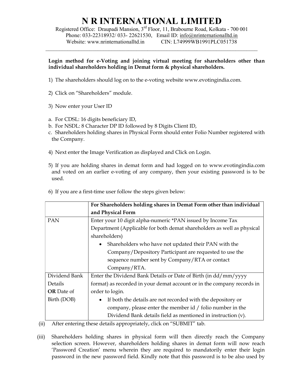Registered Office: Draupadi Mansion, 3rd Floor, 11, Brabourne Road, Kolkata - 700 001 Phone: 033-22318932/ 033- 22621530, Email ID: info@nrinternationalltd.in Website: www.nrinternationalltd.in CIN: L74999WB1991PLC051738

 $\mathcal{L}_\mathcal{L} = \{ \mathcal{L}_\mathcal{L} = \{ \mathcal{L}_\mathcal{L} = \{ \mathcal{L}_\mathcal{L} = \{ \mathcal{L}_\mathcal{L} = \{ \mathcal{L}_\mathcal{L} = \{ \mathcal{L}_\mathcal{L} = \{ \mathcal{L}_\mathcal{L} = \{ \mathcal{L}_\mathcal{L} = \{ \mathcal{L}_\mathcal{L} = \{ \mathcal{L}_\mathcal{L} = \{ \mathcal{L}_\mathcal{L} = \{ \mathcal{L}_\mathcal{L} = \{ \mathcal{L}_\mathcal{L} = \{ \mathcal{L}_\mathcal{$ 

#### Login method for e-Voting and joining virtual meeting for shareholders other than individual shareholders holding in Demat form & physical shareholders.

- 1) The shareholders should log on to the e-voting website www.evotingindia.com.
- 2) Click on "Shareholders" module.
- 3) Now enter your User ID
- a. For CDSL: 16 digits beneficiary ID,
- b. For NSDL: 8 Character DP ID followed by 8 Digits Client ID,
- c. Shareholders holding shares in Physical Form should enter Folio Number registered with the Company.
- 4) Next enter the Image Verification as displayed and Click on Login.
- 5) If you are holding shares in demat form and had logged on to www.evotingindia.com and voted on an earlier e-voting of any company, then your existing password is to be used.

|  |  |  |  |  |  | 6) If you are a first-time user follow the steps given below: |  |  |
|--|--|--|--|--|--|---------------------------------------------------------------|--|--|
|--|--|--|--|--|--|---------------------------------------------------------------|--|--|

|                   | For Shareholders holding shares in Demat Form other than individual    |  |  |  |
|-------------------|------------------------------------------------------------------------|--|--|--|
|                   | and Physical Form                                                      |  |  |  |
| <b>PAN</b>        | Enter your 10 digit alpha-numeric *PAN issued by Income Tax            |  |  |  |
|                   | Department (Applicable for both demat shareholders as well as physical |  |  |  |
|                   | shareholders)                                                          |  |  |  |
|                   | • Shareholders who have not updated their PAN with the                 |  |  |  |
|                   | Company/Depository Participant are requested to use the                |  |  |  |
|                   | sequence number sent by Company/RTA or contact                         |  |  |  |
|                   | Company/RTA.                                                           |  |  |  |
| Dividend Bank     | Enter the Dividend Bank Details or Date of Birth (in dd/mm/yyyy        |  |  |  |
| Details           | format) as recorded in your demat account or in the company records in |  |  |  |
| <b>OR</b> Date of | order to login.                                                        |  |  |  |
| Birth (DOB)       | If both the details are not recorded with the depository or            |  |  |  |
|                   | company, please enter the member id / folio number in the              |  |  |  |
|                   | Dividend Bank details field as mentioned in instruction (v).           |  |  |  |

(ii) After entering these details appropriately, click on "SUBMIT" tab.

(iii) Shareholders holding shares in physical form will then directly reach the Company selection screen. However, shareholders holding shares in demat form will now reach 'Password Creation' menu wherein they are required to mandatorily enter their login password in the new password field. Kindly note that this password is to be also used by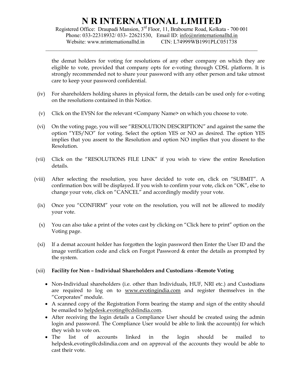Registered Office: Draupadi Mansion, 3rd Floor, 11, Brabourne Road, Kolkata - 700 001 Phone: 033-22318932/ 033- 22621530, Email ID: info@nrinternationalltd.in Website: www.nrinternationalltd.in CIN: L74999WB1991PLC051738

 $\mathcal{L}_\mathcal{L} = \{ \mathcal{L}_\mathcal{L} = \{ \mathcal{L}_\mathcal{L} = \{ \mathcal{L}_\mathcal{L} = \{ \mathcal{L}_\mathcal{L} = \{ \mathcal{L}_\mathcal{L} = \{ \mathcal{L}_\mathcal{L} = \{ \mathcal{L}_\mathcal{L} = \{ \mathcal{L}_\mathcal{L} = \{ \mathcal{L}_\mathcal{L} = \{ \mathcal{L}_\mathcal{L} = \{ \mathcal{L}_\mathcal{L} = \{ \mathcal{L}_\mathcal{L} = \{ \mathcal{L}_\mathcal{L} = \{ \mathcal{L}_\mathcal{$ 

the demat holders for voting for resolutions of any other company on which they are eligible to vote, provided that company opts for e-voting through CDSL platform. It is strongly recommended not to share your password with any other person and take utmost care to keep your password confidential.

- (iv) For shareholders holding shares in physical form, the details can be used only for e-voting on the resolutions contained in this Notice.
- (v) Click on the EVSN for the relevant <Company Name> on which you choose to vote.
- (vi) On the voting page, you will see "RESOLUTION DESCRIPTION" and against the same the option "YES/NO" for voting. Select the option YES or NO as desired. The option YES implies that you assent to the Resolution and option NO implies that you dissent to the Resolution.
- (vii) Click on the "RESOLUTIONS FILE LINK" if you wish to view the entire Resolution details.
- (viii) After selecting the resolution, you have decided to vote on, click on "SUBMIT". A confirmation box will be displayed. If you wish to confirm your vote, click on "OK", else to change your vote, click on "CANCEL" and accordingly modify your vote.
	- (ix) Once you "CONFIRM" your vote on the resolution, you will not be allowed to modify your vote.
	- (x) You can also take a print of the votes cast by clicking on "Click here to print" option on the Voting page.
	- (xi) If a demat account holder has forgotten the login password then Enter the User ID and the image verification code and click on Forgot Password & enter the details as prompted by the system.

### (xii) Facility for Non – Individual Shareholders and Custodians –Remote Voting

- Non-Individual shareholders (i.e. other than Individuals, HUF, NRI etc.) and Custodians are required to log on to www.evotingindia.com and register themselves in the "Corporates" module.
- A scanned copy of the Registration Form bearing the stamp and sign of the entity should be emailed to helpdesk.evoting@cdslindia.com.
- After receiving the login details a Compliance User should be created using the admin login and password. The Compliance User would be able to link the account(s) for which they wish to vote on.
- The list of accounts linked in the login should be mailed to helpdesk.evoting@cdslindia.com and on approval of the accounts they would be able to cast their vote.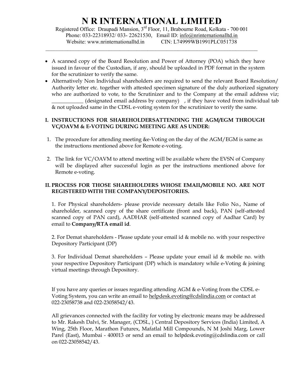Registered Office: Draupadi Mansion, 3rd Floor, 11, Brabourne Road, Kolkata - 700 001 Phone: 033-22318932/ 033- 22621530, Email ID: info@nrinternationalltd.in Website: www.nrinternationalltd.in CIN: L74999WB1991PLC051738

 $\mathcal{L}_\mathcal{L} = \{ \mathcal{L}_\mathcal{L} = \{ \mathcal{L}_\mathcal{L} = \{ \mathcal{L}_\mathcal{L} = \{ \mathcal{L}_\mathcal{L} = \{ \mathcal{L}_\mathcal{L} = \{ \mathcal{L}_\mathcal{L} = \{ \mathcal{L}_\mathcal{L} = \{ \mathcal{L}_\mathcal{L} = \{ \mathcal{L}_\mathcal{L} = \{ \mathcal{L}_\mathcal{L} = \{ \mathcal{L}_\mathcal{L} = \{ \mathcal{L}_\mathcal{L} = \{ \mathcal{L}_\mathcal{L} = \{ \mathcal{L}_\mathcal{$ 

- A scanned copy of the Board Resolution and Power of Attorney (POA) which they have issued in favour of the Custodian, if any, should be uploaded in PDF format in the system for the scrutinizer to verify the same.
- Alternatively Non Individual shareholders are required to send the relevant Board Resolution/ Authority letter etc. together with attested specimen signature of the duly authorized signatory who are authorized to vote, to the Scrutinizer and to the Company at the email address viz;  $(\text{designated email address by company})$ , if they have voted from individual tab & not uploaded same in the CDSL e-voting system for the scrutinizer to verify the same.

### I. INSTRUCTIONS FOR SHAREHOLDERSATTENDING THE AGM/EGM THROUGH VC/OAVM & E-VOTING DURING MEETING ARE AS UNDER:

- 1. The procedure for attending meeting &e-Voting on the day of the AGM/EGM is same as the instructions mentioned above for Remote e-voting.
- 2. The link for VC/OAVM to attend meeting will be available where the EVSN of Company will be displayed after successful login as per the instructions mentioned above for Remote e-voting.

### II. PROCESS FOR THOSE SHAREHOLDERS WHOSE EMAIL/MOBILE NO. ARE NOT REGISTERED WITH THE COMPANY/DEPOSITORIES.

1. For Physical shareholders- please provide necessary details like Folio No., Name of shareholder, scanned copy of the share certificate (front and back), PAN (self-attested scanned copy of PAN card), AADHAR (self-attested scanned copy of Aadhar Card) by email to Company/RTA email id.

2. For Demat shareholders - Please update your email id & mobile no. with your respective Depository Participant (DP)

3. For Individual Demat shareholders – Please update your email id & mobile no. with your respective Depository Participant (DP) which is mandatory while e-Voting & joining virtual meetings through Depository.

If you have any queries or issues regarding attending AGM & e-Voting from the CDSL e-Voting System, you can write an email to helpdesk.evoting@cdslindia.com or contact at 022-23058738 and 022-23058542/43.

All grievances connected with the facility for voting by electronic means may be addressed to Mr. Rakesh Dalvi, Sr. Manager, (CDSL, ) Central Depository Services (India) Limited, A Wing, 25th Floor, Marathon Futurex, Mafatlal Mill Compounds, N M Joshi Marg, Lower Parel (East), Mumbai - 400013 or send an email to helpdesk.evoting@cdslindia.com or call on 022-23058542/43.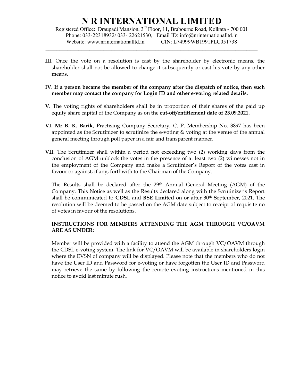Registered Office: Draupadi Mansion, 3rd Floor, 11, Brabourne Road, Kolkata - 700 001 Phone: 033-22318932/ 033- 22621530, Email ID: info@nrinternationalltd.in Website: www.nrinternationalltd.in CIN: L74999WB1991PLC051738

 $\mathcal{L}_\mathcal{L} = \{ \mathcal{L}_\mathcal{L} = \{ \mathcal{L}_\mathcal{L} = \{ \mathcal{L}_\mathcal{L} = \{ \mathcal{L}_\mathcal{L} = \{ \mathcal{L}_\mathcal{L} = \{ \mathcal{L}_\mathcal{L} = \{ \mathcal{L}_\mathcal{L} = \{ \mathcal{L}_\mathcal{L} = \{ \mathcal{L}_\mathcal{L} = \{ \mathcal{L}_\mathcal{L} = \{ \mathcal{L}_\mathcal{L} = \{ \mathcal{L}_\mathcal{L} = \{ \mathcal{L}_\mathcal{L} = \{ \mathcal{L}_\mathcal{$ 

- III. Once the vote on a resolution is cast by the shareholder by electronic means, the shareholder shall not be allowed to change it subsequently or cast his vote by any other means.
- IV. If a person became the member of the company after the dispatch of notice, then such member may contact the company for Login ID and other e-voting related details.
- V. The voting rights of shareholders shall be in proportion of their shares of the paid up equity share capital of the Company as on the **cut-off/entitlement date of 23.09.2021.**
- VI. Mr B. K. Barik, Practising Company Secretary, C. P. Membership No. 3897 has been appointed as the Scrutinizer to scrutinize the e-voting & voting at the venue of the annual general meeting through poll paper in a fair and transparent manner.
- VII. The Scrutinizer shall within a period not exceeding two (2) working days from the conclusion of AGM unblock the votes in the presence of at least two (2) witnesses not in the employment of the Company and make a Scrutinizer's Report of the votes cast in favour or against, if any, forthwith to the Chairman of the Company.

The Results shall be declared after the 29th Annual General Meeting (AGM) of the Company. This Notice as well as the Results declared along with the Scrutinizer's Report shall be communicated to CDSL and BSE Limited on or after  $30<sup>th</sup>$  September, 2021. The resolution will be deemed to be passed on the AGM date subject to receipt of requisite no of votes in favour of the resolutions.

### INSTRUCTIONS FOR MEMBERS ATTENDING THE AGM THROUGH VC/OAVM ARE AS UNDER:

Member will be provided with a facility to attend the AGM through VC/OAVM through the CDSL e-voting system. The link for VC/OAVM will be available in shareholders login where the EVSN of company will be displayed. Please note that the members who do not have the User ID and Password for e-voting or have forgotten the User ID and Password may retrieve the same by following the remote evoting instructions mentioned in this notice to avoid last minute rush.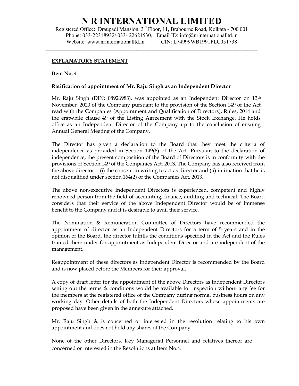Registered Office: Draupadi Mansion, 3rd Floor, 11, Brabourne Road, Kolkata - 700 001 Phone: 033-22318932/ 033- 22621530, Email ID: info@nrinternationalltd.in Website: www.nrinternationalltd.in CIN: L74999WB1991PLC051738

 $\mathcal{L}_\mathcal{L} = \{ \mathcal{L}_\mathcal{L} = \{ \mathcal{L}_\mathcal{L} = \{ \mathcal{L}_\mathcal{L} = \{ \mathcal{L}_\mathcal{L} = \{ \mathcal{L}_\mathcal{L} = \{ \mathcal{L}_\mathcal{L} = \{ \mathcal{L}_\mathcal{L} = \{ \mathcal{L}_\mathcal{L} = \{ \mathcal{L}_\mathcal{L} = \{ \mathcal{L}_\mathcal{L} = \{ \mathcal{L}_\mathcal{L} = \{ \mathcal{L}_\mathcal{L} = \{ \mathcal{L}_\mathcal{L} = \{ \mathcal{L}_\mathcal{$ 

#### EXPLANATORY STATEMENT

Item No. 4

#### Ratification of appointment of Mr. Raju Singh as an Independent Director

Mr. Raju Singh (DIN: 08926983), was appointed as an Independent Director on 13<sup>th</sup> November, 2020 of the Company pursuant to the provision of the Section 149 of the Act read with the Companies (Appointment and Qualification of Directors), Rules, 2014 and the erstwhile clause 49 of the Listing Agreement with the Stock Exchange. He holds office as an Independent Director of the Company up to the conclusion of ensuing Annual General Meeting of the Company.

The Director has given a declaration to the Board that they meet the criteria of independence as provided in Section 149(6) of the Act. Pursuant to the declaration of independence, the present composition of the Board of Directors is in conformity with the provisions of Section 149 of the Companies Act, 2013. The Company has also received from the above director: - (i) the consent in writing to act as director and (ii) intimation that he is not disqualified under section 164(2) of the Companies Act, 2013.

The above non-executive Independent Directors is experienced, competent and highly renowned person from the field of accounting, finance, auditing and technical. The Board considers that their service of the above Independent Director would be of immense benefit to the Company and it is desirable to avail their service.

The Nomination & Remuneration Committee of Directors have recommended the appointment of director as an Independent Directors for a term of 5 years and in the opinion of the Board, the director fulfills the conditions specified in the Act and the Rules framed there under for appointment as Independent Director and are independent of the management.

Reappointment of these directors as Independent Director is recommended by the Board and is now placed before the Members for their approval.

A copy of draft letter for the appointment of the above Directors as Independent Directors setting out the terms & conditions would be available for inspection without any fee for the members at the registered office of the Company during normal business hours on any working day. Other details of both the Independent Directors whose appointments are proposed have been given in the annexure attached.

Mr. Raju Singh & is concerned or interested in the resolution relating to his own appointment and does not hold any shares of the Company.

None of the other Directors, Key Managerial Personnel and relatives thereof are concerned or interested in the Resolutions at Item No.4.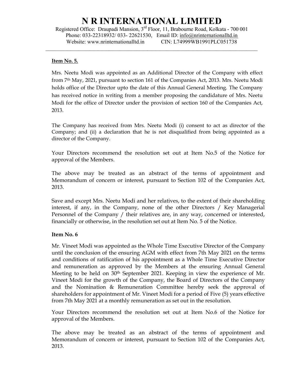Registered Office: Draupadi Mansion, 3rd Floor, 11, Brabourne Road, Kolkata - 700 001 Phone: 033-22318932/ 033- 22621530, Email ID: info@nrinternationalltd.in Website: www.nrinternationalltd.in CIN: L74999WB1991PLC051738

 $\mathcal{L}_\mathcal{L} = \{ \mathcal{L}_\mathcal{L} = \{ \mathcal{L}_\mathcal{L} = \{ \mathcal{L}_\mathcal{L} = \{ \mathcal{L}_\mathcal{L} = \{ \mathcal{L}_\mathcal{L} = \{ \mathcal{L}_\mathcal{L} = \{ \mathcal{L}_\mathcal{L} = \{ \mathcal{L}_\mathcal{L} = \{ \mathcal{L}_\mathcal{L} = \{ \mathcal{L}_\mathcal{L} = \{ \mathcal{L}_\mathcal{L} = \{ \mathcal{L}_\mathcal{L} = \{ \mathcal{L}_\mathcal{L} = \{ \mathcal{L}_\mathcal{$ 

#### Item No. 5.

Mrs. Neetu Modi was appointed as an Additional Director of the Company with effect from 7th May, 2021, pursuant to section 161 of the Companies Act, 2013. Mrs. Neetu Modi holds office of the Director upto the date of this Annual General Meeting. The Company has received notice in writing from a member proposing the candidature of Mrs. Neetu Modi for the office of Director under the provision of section 160 of the Companies Act, 2013.

The Company has received from Mrs. Neetu Modi (i) consent to act as director of the Company; and (ii) a declaration that he is not disqualified from being appointed as a director of the Company.

Your Directors recommend the resolution set out at Item No.5 of the Notice for approval of the Members.

The above may be treated as an abstract of the terms of appointment and Memorandum of concern or interest, pursuant to Section 102 of the Companies Act, 2013.

Save and except Mrs. Neetu Modi and her relatives, to the extent of their shareholding interest, if any, in the Company, none of the other Directors / Key Managerial Personnel of the Company / their relatives are, in any way, concerned or interested, financially or otherwise, in the resolution set out at Item No. 5 of the Notice.

### Item No. 6

Mr. Vineet Modi was appointed as the Whole Time Executive Director of the Company until the conclusion of the ensuring AGM with effect from 7th May 2021 on the terms and conditions of ratification of his appointment as a Whole Time Executive Director and remuneration as approved by the Members at the ensuring Annual General Meeting to be held on 30<sup>th</sup> September 2021. Keeping in view the experience of Mr. Vineet Modi for the growth of the Company, the Board of Directors of the Company and the Nomination & Remuneration Committee hereby seek the approval of shareholders for appointment of Mr. Vineet Modi for a period of Five (5) years effective from 7th May 2021 at a monthly remuneration as set out in the resolution.

Your Directors recommend the resolution set out at Item No.6 of the Notice for approval of the Members.

The above may be treated as an abstract of the terms of appointment and Memorandum of concern or interest, pursuant to Section 102 of the Companies Act, 2013.